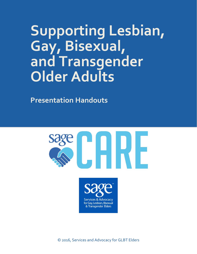# **Supporting Lesbian, Gay, Bisexual, and Transgender Older Adults**

**Presentation Handouts**

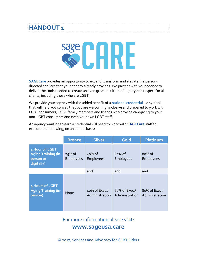# **HANDOUT 1**



**SAGECare** provides an opportunity to expand, transform and elevate the persondirected services that your agency already provides. We partner with your agency to deliver the tools needed to create an even greater culture of dignity and respect for all clients, including those who are LGBT.

We provide your agency with the added benefit of a **national credential** – a symbol that will help you convey that you are welcoming, inclusive and prepared to work with LGBT consumers, LGBT family members and friends who provide caregiving to your non-LGBT consumers and even your own LGBT staff.

An agency wanting to earn a credential will need to work with **SAGECare** staff to execute the following, on an annual basis:

|                                                                         | <b>Bronze</b>         | <b>Silver</b>                   | Gold                            | Platinum                        |
|-------------------------------------------------------------------------|-----------------------|---------------------------------|---------------------------------|---------------------------------|
| 1 Hour of LGBT<br><b>Aging Training (in-</b><br>person or<br>digitally) | $25%$ of<br>Employees | 40% of<br><b>Employees</b>      | $60%$ of<br>Employees           | $80%$ of<br>Employees           |
|                                                                         |                       | and                             | and                             | and                             |
| 4 Hours of LGBT<br><b>Aging Training (in-</b><br>person)                | None                  | 40% of Exec./<br>Administration | 60% of Exec./<br>Administration | 80% of Exec./<br>Administration |

For more information please visit:

### **www.sageusa.care**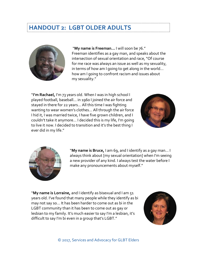# **HANDOUT 2: LGBT OLDER ADULTS**



"**My name is Freeman…** I will soon be 76." Freeman identifies as a gay man, and speaks about the intersection of sexual orientation and race, "Of course for me race was always an issue as well as my sexuality, in terms of how am I going to get along in the world… how am I going to confront racism and issues about my sexuality."

"**I'm Rachael,** I'm 73 years old. When I was in high school I played football, baseball… in 1960 I joined the air force and stayed in there for 22 years… All this time I was fighting wanting to wear women's clothes… All through the air force I hid it, I was married twice, I have five grown children, and I couldn't take it anymore… I decided this is my life, I'm going to live it now. I decided to transition and it's the best thing I ever did in my life."





"**My name is Bruce,** I am 69, and I identify as a gay man… I always think about [my sexual orientation] when I'm seeing a new provider of any kind. I always test the water before I make any pronouncements about myself."

"**My name is Lorraine,** and I identify as bisexual and I am 51 years old. I've found that many people while they identify as bi may not say so… It has been harder to come out as bi in the LGBT community than it has been to come out as gay or lesbian to my family. It's much easier to say I'm a lesbian, it's difficult to say I'm bi even in a group that's LGBT."

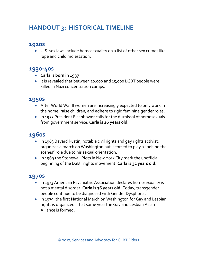# **HANDOUT 3: HISTORICAL TIMELINE**

## **1920s**

 U.S. sex laws include homosexuality on a list of other sex crimes like rape and child molestation.

## **1930-40s**

- **Carla is born in 1937**
- It is revealed that between 10,000 and 15,000 LGBT people were killed in Nazi concentration camps.

## **1950s**

- After World War II women are increasingly expected to only work in the home, raise children, and adhere to rigid feminine gender roles.
- In 1953 President Eisenhower calls for the dismissal of homosexuals from government service. **Carla is 16 years old.**

## **1960s**

- In 1963 Bayard Rustin, notable civil rights and gay rights activist, organizes a march on Washington but is forced to play a "behind the scenes" role due to his sexual orientation.
- In 1969 the Stonewall Riots in New York City mark the unofficial beginning of the LGBT rights movement. **Carla is 32 years old.**

## **1970s**

- In 1973 American Psychiatric Association declares homosexuality is not a mental disorder. **Carla is 36 years old.** Today, transgender people continue to be diagnosed with Gender Dysphoria.
- In 1979, the first National March on Washington for Gay and Lesbian rights is organized. That same year the Gay and Lesbian Asian Alliance is formed.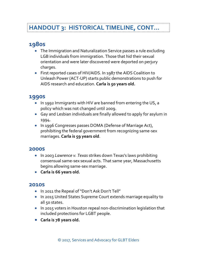# **HANDOUT 3: HISTORICAL TIMELINE, CONT…**

# **1980s**

- The Immigration and Naturalization Service passes a rule excluding LGB individuals from immigration. Those that hid their sexual orientation and were later discovered were deported on perjury charges.
- First reported cases of HIV/AIDS. In 1987 the AIDS Coalition to Unleash Power (ACT-UP) starts public demonstrations to push for AIDS research and education. **Carla is 50 years old.**

## **1990s**

- In 1992 Immigrants with HIV are banned from entering the US, a policy which was not changed until 2009.
- Gay and Lesbian individuals are finally allowed to apply for asylum in 1994.
- In 1996 Congresses passes DOMA (Defense of Marriage Act), prohibiting the federal government from recognizing same-sex marriages. **Carla is 59 years old**.

#### **2000s**

- In 2003 *Lawrence v. Texas* strikes down Texas's laws prohibiting consensual same-sex sexual acts. That same year, Massachusetts begins allowing same-sex marriage.
- **Carla is 66 years old.**

#### **2010s**

- In 2011 the Repeal of "Don't Ask Don't Tell"
- In 2015 United States Supreme Court extends marriage equality to all 50 states.
- In 2015 voters in Houston repeal non-discrimination legislation that included protections for LGBT people.
- **Carla is 78 years old.**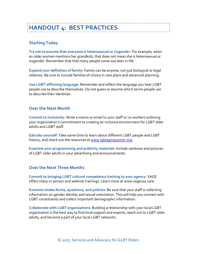# **HANDOUT 4: BEST PRACTICES**

#### **Starting Today**

**Try not to assume that everyone is heterosexual or cisgender**: For example, when an older woman mentions her grandkids, that does not mean she is heterosexual or cisgender. Remember that that many people come out later in life.

**Expand your definition of family**: Family can be anyone, not just biological or legal relatives. Be sure to include families of choice in care plans and advanced planning.

**Use LGBT-affirming language**: Remember and reflect the language you hear LGBT people use to describe themselves. Do not guess or assume which terms people use to describe their identities.

#### **Over the Next Month**

**Commit to inclusivity**: Write a memo or email to your staff or co-workers outlining your organization's commitment to creating an inclusive environment for LGBT older adults and LGBT staff.

**Educate yourself**: Take some time to learn about different LGBT people and LGBT history, and check out the resources at [www.lgbtagingcenter.org](http://www.lgbtagingcenter.org/)**.**

**Examine your programming and publicity materials**: Include rainbows and pictures of LGBT older adults in your advertising and announcements.

#### **Over the Next Three Months**

**Commit to bringing LGBT cultural competency training to your agency**: SAGE offers many in-person and webinar trainings. Learn more at www.sageusa.care

**Examine intake forms, questions, and policies**: Be sure that your staff is collecting information on gender identity and sexual orientation. This will help you connect with LGBT constituents and collect important demographic information.

**Collaborate with LGBT organizations**: Building a relationship with your local LGBT organization is the best way to find local support and experts, reach out to LGBT older adults, and become a part of your local LGBT networks.